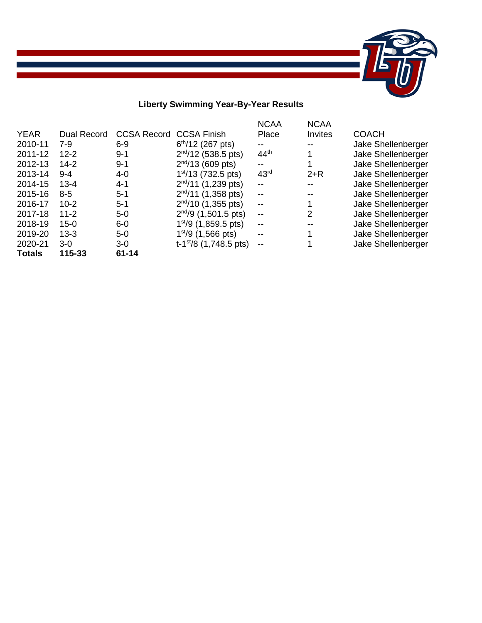

# **Liberty Swimming Year-By-Year Results**

the control of the control of the control of the control of the control of the control of the control of the control of the control of the control of the control of the control of the control of the control of the control

| <b>YEAR</b><br>2010-11<br>2011-12<br>2012-13<br>2013-14<br>2014-15<br>2015-16<br>2016-17<br>2017-18 | <b>Dual Record</b><br>$7-9$<br>$12 - 2$<br>$14-2$<br>$9 - 4$<br>$13 - 4$<br>$8 - 5$<br>$10 - 2$<br>$11 - 2$ | <b>CCSA Record</b><br>$6 - 9$<br>$9 - 1$<br>$9 - 1$<br>$4 - 0$<br>$4 - 1$<br>$5-1$<br>$5-1$<br>$5-0$ | <b>CCSA Finish</b><br>$6th/12$ (267 pts)<br>$2nd/12$ (538.5 pts)<br>$2nd/13$ (609 pts)<br>1 <sup>st</sup> /13 (732.5 pts)<br>$2nd/11$ (1,239 pts)<br>$2nd/11$ (1,358 pts)<br>$2nd/10$ (1,355 pts)<br>$2nd/9$ (1,501.5 pts) | <b>NCAA</b><br>Place<br>--<br>44 <sup>th</sup><br>$- -$<br>43 <sup>rd</sup><br>$- -$<br>$- -$<br>$\overline{\phantom{m}}$<br>$-$ | <b>NCAA</b><br>Invites<br>$2+R$<br>2 | <b>COACH</b><br>Jake Shellenberger<br>Jake Shellenberger<br>Jake Shellenberger<br>Jake Shellenberger<br>Jake Shellenberger<br>Jake Shellenberger<br>Jake Shellenberger<br>Jake Shellenberger |
|-----------------------------------------------------------------------------------------------------|-------------------------------------------------------------------------------------------------------------|------------------------------------------------------------------------------------------------------|----------------------------------------------------------------------------------------------------------------------------------------------------------------------------------------------------------------------------|----------------------------------------------------------------------------------------------------------------------------------|--------------------------------------|----------------------------------------------------------------------------------------------------------------------------------------------------------------------------------------------|
|                                                                                                     |                                                                                                             |                                                                                                      |                                                                                                                                                                                                                            |                                                                                                                                  |                                      |                                                                                                                                                                                              |
| 2018-19                                                                                             | $15 - 0$                                                                                                    | $6-0$                                                                                                | $1st/9$ (1,859.5 pts)                                                                                                                                                                                                      | $-$                                                                                                                              |                                      | Jake Shellenberger                                                                                                                                                                           |
| 2019-20                                                                                             | $13 - 3$                                                                                                    | $5-0$                                                                                                | $1st/9$ (1,566 pts)                                                                                                                                                                                                        | $- -$                                                                                                                            | 1                                    | Jake Shellenberger                                                                                                                                                                           |
| 2020-21                                                                                             | $3-0$                                                                                                       | $3-0$                                                                                                | t-1 <sup>st</sup> /8 $(1,748.5 \text{ pts})$                                                                                                                                                                               | $\overline{\phantom{m}}$                                                                                                         |                                      | Jake Shellenberger                                                                                                                                                                           |
| <b>Totals</b>                                                                                       | 115-33                                                                                                      | $61 - 14$                                                                                            |                                                                                                                                                                                                                            |                                                                                                                                  |                                      |                                                                                                                                                                                              |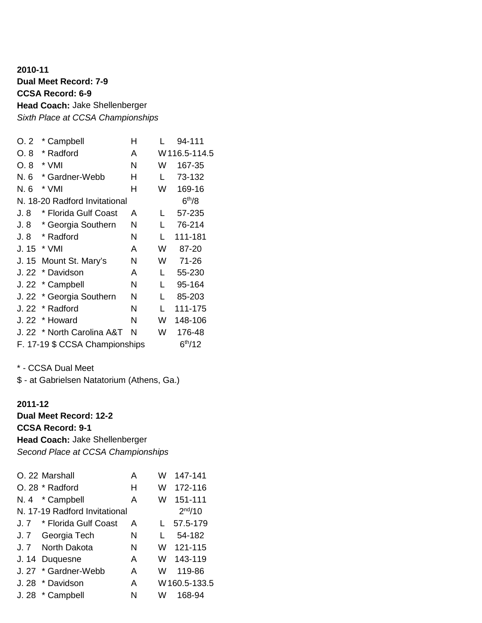## **2010-11 Dual Meet Record: 7-9 CCSA Record: 6-9 Head Coach:** Jake Shellenberger *Sixth Place at CCSA Championships*

| O.2   | * Campbell                     | Н |   | 94-111              |
|-------|--------------------------------|---|---|---------------------|
| O. 8  | * Radford                      | A |   | W116.5-114.5        |
| O.8   | * VMI                          | N | W | 167-35              |
| N. 6  | * Gardner-Webb                 | н | L | 73-132              |
| N. 6  | * VMI                          | н | W | 169-16              |
|       | N. 18-20 Radford Invitational  |   |   | 6 <sup>th</sup> /8  |
| J. 8  | * Florida Gulf Coast           | A | L | 57-235              |
| J. 8  | * Georgia Southern             | N | L | 76-214              |
| J. 8  | * Radford                      | N | L | 111-181             |
| J. 15 | * VMI                          | A | W | 87-20               |
| J. 15 | Mount St. Mary's               | N | W | $71 - 26$           |
| J.22  | * Davidson                     | A | L | 55-230              |
| J. 22 | * Campbell                     | N | L | 95-164              |
| J. 22 | * Georgia Southern             | N | L | 85-203              |
| J. 22 | * Radford                      | N | L | 111-175             |
| J.22  | * Howard                       | N | W | 148-106             |
|       | J. 22 * North Carolina A&T     | N | W | 176-48              |
|       | F. 17-19 \$ CCSA Championships |   |   | 6 <sup>th</sup> /12 |

\* - CCSA Dual Meet \$ - at Gabrielsen Natatorium (Athens, Ga.)

### **2011-12 Dual Meet Record: 12-2 CCSA Record: 9-1 Head Coach:** Jake Shellenberger *Second Place at CCSA Championships*

| O. 22 Marshall                | A | W | 147-141      |
|-------------------------------|---|---|--------------|
| O. 28 * Radford               | н | W | 172-116      |
| N. 4 * Campbell               | A | W | 151-111      |
| N. 17-19 Radford Invitational |   |   | $2^{nd}/10$  |
| J. 7 * Florida Gulf Coast     | A |   | 57.5-179     |
| J. 7 Georgia Tech             | N |   | 54-182       |
| J. 7 North Dakota             | N | W | 121-115      |
| J. 14 Duquesne                | A | W | 143-119      |
| J. 27 * Gardner-Webb          | A | W | 119-86       |
| J. 28 * Davidson              | A |   | W160.5-133.5 |
| J. 28 * Campbell              | N | W | 168-94       |
|                               |   |   |              |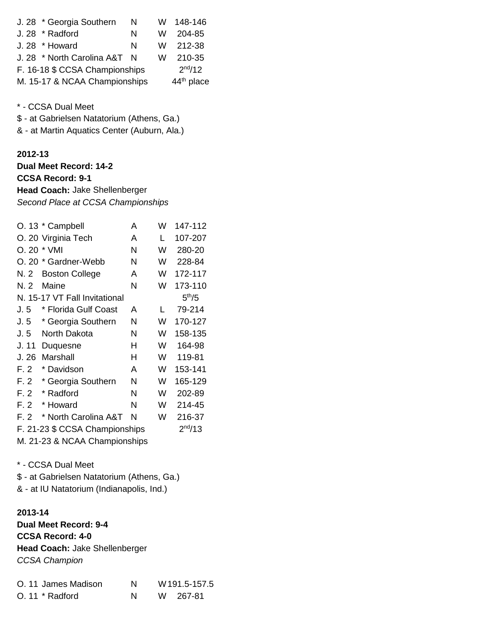| J. 28 * Georgia Southern       | N   | W | 148-146                |
|--------------------------------|-----|---|------------------------|
| J. 28 * Radford                | N   | W | 204-85                 |
| J. 28 * Howard                 | N   |   | W 212-38               |
| J. 28 * North Carolina A&T     | - N | W | 210-35                 |
| F. 16-18 \$ CCSA Championships |     |   | $2^{nd}/12$            |
| M. 15-17 & NCAA Championships  |     |   | 44 <sup>th</sup> place |

\* - CCSA Dual Meet

\$ - at Gabrielsen Natatorium (Athens, Ga.)

& - at Martin Aquatics Center (Auburn, Ala.)

#### **2012-13**

**Dual Meet Record: 14-2 CCSA Record: 9-1 Head Coach:** Jake Shellenberger *Second Place at CCSA Championships*

|       | O. 13 * Campbell               | A | W | 147-112            |
|-------|--------------------------------|---|---|--------------------|
|       | O. 20 Virginia Tech            | A | L | 107-207            |
|       | O. 20 * VMI                    | N | W | 280-20             |
|       | O. 20 * Gardner-Webb           | N | W | 228-84             |
| N. 2  | <b>Boston College</b>          | A | W | 172-117            |
| N. 2  | Maine                          | N | W | 173-110            |
|       | N. 15-17 VT Fall Invitational  |   |   | 5 <sup>th</sup> /5 |
| J.5   | * Florida Gulf Coast           | A | L | 79-214             |
| J.5   | * Georgia Southern             | N | W | 170-127            |
| J.5   | North Dakota                   | N | W | 158-135            |
| J. 11 | Duquesne                       | н | W | 164-98             |
| J. 26 | Marshall                       | н | W | 119-81             |
| F.2   | * Davidson                     | A | W | 153-141            |
| F.2   | * Georgia Southern             | N | W | 165-129            |
| F. 2  | * Radford                      | N | W | 202-89             |
| F. 2  | * Howard                       | N | W | 214-45             |
| F. 2  | * North Carolina A&T           | N | W | 216-37             |
|       | F. 21-23 \$ CCSA Championships |   |   | $2^{nd}/13$        |
|       | M 21-23 & NCAA Championshine   |   |   |                    |

M. 21-23 & NCAA Championships

\* - CCSA Dual Meet

\$ - at Gabrielsen Natatorium (Athens, Ga.)

& - at IU Natatorium (Indianapolis, Ind.)

### **2013-14**

**Dual Meet Record: 9-4 CCSA Record: 4-0 Head Coach:** Jake Shellenberger *CCSA Champion*

| O. 11 James Madison | N | W 191.5-157.5 |
|---------------------|---|---------------|
| $O.11 * Radford$    |   | W 267-81      |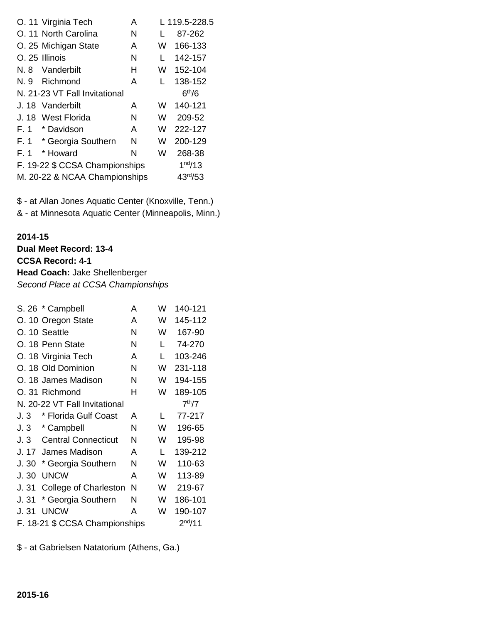|       | O. 11 Virginia Tech            | A |   | L 119.5-228.5       |
|-------|--------------------------------|---|---|---------------------|
|       | O. 11 North Carolina           | N |   | 87-262              |
|       | O. 25 Michigan State           | A | W | 166-133             |
|       | O. 25 Illinois                 | N | L | 142-157             |
| N. 8  | Vanderbilt                     | н | W | 152-104             |
| N. 9  | Richmond                       | A | L | 138-152             |
|       | N. 21-23 VT Fall Invitational  |   |   | 6 <sup>th</sup> /6  |
| J. 18 | Vanderbilt                     | A | W | 140-121             |
|       | J. 18 West Florida             | N | W | 209-52              |
| F.1   | * Davidson                     | A | W | 222-127             |
| F. 1  | * Georgia Southern             | N | W | 200-129             |
| F.1   | * Howard                       | N | W | 268-38              |
|       | F. 19-22 \$ CCSA Championships |   |   | 1 <sup>nd</sup> /13 |
|       | M. 20-22 & NCAA Championships  |   |   | $43^{rd}/53$        |

\$ - at Allan Jones Aquatic Center (Knoxville, Tenn.) & - at Minnesota Aquatic Center (Minneapolis, Minn.)

#### **2014-15**

**Dual Meet Record: 13-4 CCSA Record: 4-1 Head Coach:** Jake Shellenberger *Second Place at CCSA Championships*

|       | S. 26 * Campbell               | Α | W | 140-121            |
|-------|--------------------------------|---|---|--------------------|
|       | O. 10 Oregon State             | A | W | 145-112            |
|       | O. 10 Seattle                  | N | W | 167-90             |
|       | O. 18 Penn State               | N | L | 74-270             |
|       | O. 18 Virginia Tech            | A | L | 103-246            |
|       | O. 18 Old Dominion             | N | W | 231-118            |
|       | O. 18 James Madison            | N | W | 194-155            |
|       | O. 31 Richmond                 | н | W | 189-105            |
|       | N. 20-22 VT Fall Invitational  |   |   | 7 <sup>th</sup> /7 |
| J.3   | * Florida Gulf Coast           | А | L | 77-217             |
| J.3   | * Campbell                     | N | W | 196-65             |
| J.3   | <b>Central Connecticut</b>     | N | W | 195-98             |
| J. 17 | James Madison                  | A | L | 139-212            |
| J.30  | * Georgia Southern             | Ν | W | 110-63             |
| J.30  | <b>UNCW</b>                    | A | W | 113-89             |
| J.31  | College of Charleston          | Ν | W | 219-67             |
| J.31  | * Georgia Southern             | Ν | W | 186-101            |
| J. 31 | <b>UNCW</b>                    | Α | W | 190-107            |
|       | F. 18-21 \$ CCSA Championships |   |   | $2^{nd}/11$        |

\$ - at Gabrielsen Natatorium (Athens, Ga.)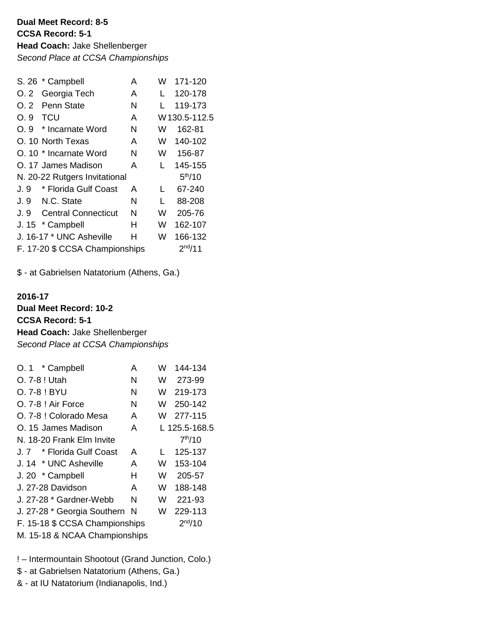**Dual Meet Record: 8-5 CCSA Record: 5-1 Head Coach:** Jake Shellenberger *Second Place at CCSA Championships*

|     | S. 26 * Campbell               | A | W            | 171-120             |
|-----|--------------------------------|---|--------------|---------------------|
| O.2 | Georgia Tech                   | A |              | 120-178             |
| O.2 | Penn State                     | N |              | 119-173             |
| O.9 | TCU                            | A |              | W130.5-112.5        |
| O.9 | * Incarnate Word               | N | W            | 162-81              |
|     | O. 10 North Texas              | A | W            | 140-102             |
|     | O. 10 * Incarnate Word         | N | W            | 156-87              |
|     | O. 17 James Madison            | A | L            | 145-155             |
|     | N. 20-22 Rutgers Invitational  |   |              | 5 <sup>th</sup> /10 |
| J.9 | * Florida Gulf Coast           | A | L            | 67-240              |
|     | J. 9 N.C. State                | N | $\mathbf{L}$ | 88-208              |
|     | J. 9 Central Connecticut       | N | W            | 205-76              |
|     | J. 15 * Campbell               | н | W            | 162-107             |
|     | J. 16-17 * UNC Asheville       | н | W            | 166-132             |
|     | F. 17-20 \$ CCSA Championships |   |              | $2^{nd}/11$         |

\$ - at Gabrielsen Natatorium (Athens, Ga.)

# **2016-17 Dual Meet Record: 10-2 CCSA Record: 5-1 Head Coach:** Jake Shellenberger *Second Place at CCSA Championships*

| * Campbell<br>O. 1             | A  | W | 144-134             |
|--------------------------------|----|---|---------------------|
| O. 7-8 ! Utah                  | N  | W | 273-99              |
| O. 7-8 ! BYU                   | N  | W | 219-173             |
| O. 7-8 ! Air Force             | N  | W | 250-142             |
| O. 7-8 ! Colorado Mesa         | A  | W | 277-115             |
| O. 15 James Madison            | A  |   | L 125.5-168.5       |
| N. 18-20 Frank Elm Invite      |    |   | 7 <sup>th</sup> /10 |
| J. 7 * Florida Gulf Coast      | A  |   | 125-137             |
| J. 14 * UNC Asheville          | A  | W | 153-104             |
| J. 20 * Campbell               | н  | W | 205-57              |
| J. 27-28 Davidson              | A  | W | 188-148             |
| J. 27-28 * Gardner-Webb        | N  | W | 221-93              |
| J. 27-28 * Georgia Southern    | -N | W | 229-113             |
| F. 15-18 \$ CCSA Championships |    |   | $2^{nd}/10$         |
| M. 15-18 & NCAA Championships  |    |   |                     |
|                                |    |   |                     |

! – Intermountain Shootout (Grand Junction, Colo.)

- \$ at Gabrielsen Natatorium (Athens, Ga.)
- & at IU Natatorium (Indianapolis, Ind.)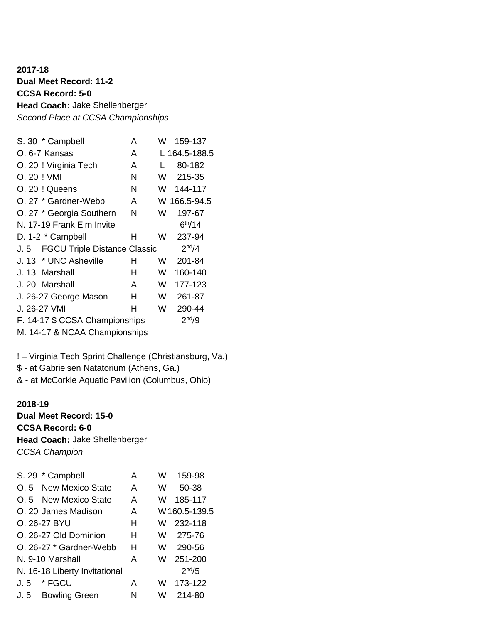**2017-18 Dual Meet Record: 11-2 CCSA Record: 5-0 Head Coach:** Jake Shellenberger *Second Place at CCSA Championships*

| S. 30 * Campbell                            | A | W  | 159-137             |
|---------------------------------------------|---|----|---------------------|
| O. 6-7 Kansas                               | A |    | L 164.5-188.5       |
| O. 20 ! Virginia Tech                       | A | L  | 80-182              |
| O. 20 ! VMI                                 | N | W. | 215-35              |
| O. 20 ! Queens                              | N | W  | 144-117             |
| O. 27 * Gardner-Webb                        | A |    | W 166.5-94.5        |
| O. 27 * Georgia Southern                    | N | W  | 197-67              |
| N. 17-19 Frank Elm Invite                   |   |    | 6 <sup>th</sup> /14 |
| D. 1-2 * Campbell                           | н | W  | 237-94              |
| <b>FGCU Triple Distance Classic</b><br>J. 5 |   |    | 2 <sup>nd</sup> /4  |
| J. 13 * UNC Asheville                       | н | W  | 201-84              |
| J. 13 Marshall                              | н | W  | 160-140             |
| J. 20 Marshall                              | A | W  | 177-123             |
| J. 26-27 George Mason                       | н | W  | 261-87              |
| J. 26-27 VMI                                | н | W  | 290-44              |
| F. 14-17 \$ CCSA Championships              |   |    | 2 <sup>nd</sup> /9  |
|                                             |   |    |                     |

M. 14-17 & NCAA Championships

! – Virginia Tech Sprint Challenge (Christiansburg, Va.)

\$ - at Gabrielsen Natatorium (Athens, Ga.)

& - at McCorkle Aquatic Pavilion (Columbus, Ohio)

#### **2018-19**

**Dual Meet Record: 15-0 CCSA Record: 6-0 Head Coach:** Jake Shellenberger *CCSA Champion*

|      | S. 29 * Campbell              | A | W | 159-98             |
|------|-------------------------------|---|---|--------------------|
|      | O. 5 New Mexico State         | A | W | 50-38              |
|      | O.5 New Mexico State          | A | W | 185-117            |
|      | O. 20 James Madison           | A |   | W160.5-139.5       |
|      | O. 26-27 BYU                  | н | W | 232-118            |
|      | O. 26-27 Old Dominion         | н | W | 275-76             |
|      | O. 26-27 * Gardner-Webb       | н | W | 290-56             |
|      | N. 9-10 Marshall              | A | W | 251-200            |
|      | N. 16-18 Liberty Invitational |   |   | 2 <sup>nd</sup> /5 |
| J. 5 | * FGCU                        | A | W | 173-122            |
|      | J.5 Bowling Green             | N | w | 214-80             |
|      |                               |   |   |                    |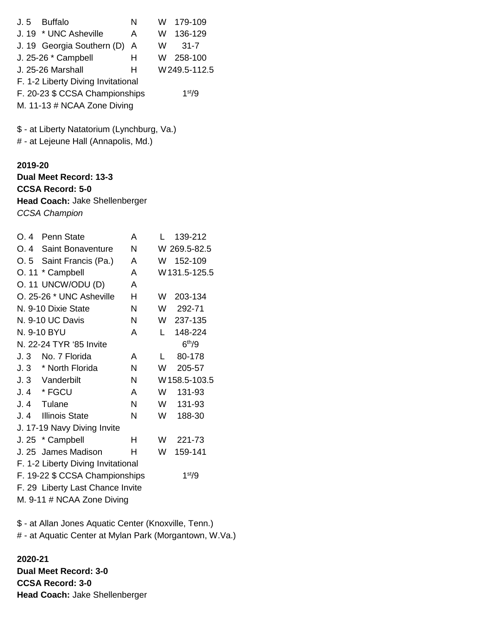|                                                                                                                        | J.5 Buffalo<br>J. 19 * UNC Asheville<br>J. 19 Georgia Southern (D)<br>J. 25-26 * Campbell<br><b>J. 25-26 Marshall</b><br>F. 1-2 Liberty Diving Invitational<br>F. 20-23 \$ CCSA Championships<br>M. 11-13 # NCAA Zone Diving | N<br>A<br>A<br>H.<br>н | <b>W</b><br>W<br>W.<br><b>W</b> | 179-109<br>136-129<br>$31 - 7$<br>258-100<br>W249.5-112.5<br>1 <sup>st</sup> /9 |  |  |  |
|------------------------------------------------------------------------------------------------------------------------|------------------------------------------------------------------------------------------------------------------------------------------------------------------------------------------------------------------------------|------------------------|---------------------------------|---------------------------------------------------------------------------------|--|--|--|
| \$ - at Liberty Natatorium (Lynchburg, Va.)<br># - at Lejeune Hall (Annapolis, Md.)                                    |                                                                                                                                                                                                                              |                        |                                 |                                                                                 |  |  |  |
| 2019-20<br>Dual Meet Record: 13-3<br><b>CCSA Record: 5-0</b><br>Head Coach: Jake Shellenberger<br><b>CCSA Champion</b> |                                                                                                                                                                                                                              |                        |                                 |                                                                                 |  |  |  |
|                                                                                                                        | O. 4 Penn State                                                                                                                                                                                                              | A                      | L.                              | 139-212                                                                         |  |  |  |
|                                                                                                                        | O. 4 Saint Bonaventure                                                                                                                                                                                                       | N                      |                                 | W 269.5-82.5                                                                    |  |  |  |
|                                                                                                                        | O. 5 Saint Francis (Pa.)                                                                                                                                                                                                     | A                      |                                 | W 152-109                                                                       |  |  |  |
|                                                                                                                        | O. 11 * Campbell                                                                                                                                                                                                             | A                      |                                 | W131.5-125.5                                                                    |  |  |  |
|                                                                                                                        | O. 11 UNCW/ODU (D)                                                                                                                                                                                                           | A                      |                                 |                                                                                 |  |  |  |
|                                                                                                                        | O. 25-26 * UNC Asheville                                                                                                                                                                                                     | H                      | W                               | 203-134                                                                         |  |  |  |
| N. 9-10 Dixie State                                                                                                    |                                                                                                                                                                                                                              | N                      |                                 | W 292-71                                                                        |  |  |  |
| N. 9-10 UC Davis                                                                                                       |                                                                                                                                                                                                                              | N                      |                                 | W 237-135                                                                       |  |  |  |
| N. 9-10 BYU                                                                                                            |                                                                                                                                                                                                                              | A                      | L.                              | 148-224                                                                         |  |  |  |
| 6 <sup>th</sup> /9<br>N. 22-24 TYR '85 Invite                                                                          |                                                                                                                                                                                                                              |                        |                                 |                                                                                 |  |  |  |
|                                                                                                                        | J. 3 No. 7 Florida                                                                                                                                                                                                           | Α                      | L                               | 80-178                                                                          |  |  |  |
| J.3                                                                                                                    | * North Florida                                                                                                                                                                                                              | N                      | W                               | 205-57                                                                          |  |  |  |
| J.3                                                                                                                    | Vanderbilt                                                                                                                                                                                                                   | N                      |                                 | W158.5-103.5                                                                    |  |  |  |
| J. 4                                                                                                                   | * FGCU                                                                                                                                                                                                                       | A                      | W                               | 131-93                                                                          |  |  |  |
| J. 4                                                                                                                   | Tulane                                                                                                                                                                                                                       | N                      | W                               | 131-93                                                                          |  |  |  |
| J.4                                                                                                                    | <b>Illinois State</b>                                                                                                                                                                                                        | N                      | W                               | 188-30                                                                          |  |  |  |
| J. 17-19 Navy Diving Invite                                                                                            |                                                                                                                                                                                                                              |                        |                                 |                                                                                 |  |  |  |
|                                                                                                                        | J. 25 * Campbell                                                                                                                                                                                                             | н                      | W                               | 221-73                                                                          |  |  |  |
|                                                                                                                        | J. 25 James Madison                                                                                                                                                                                                          | н                      | W                               | 159-141                                                                         |  |  |  |
| F. 1-2 Liberty Diving Invitational                                                                                     |                                                                                                                                                                                                                              |                        |                                 |                                                                                 |  |  |  |
| F. 19-22 \$ CCSA Championships<br>1 <sup>st</sup> /9                                                                   |                                                                                                                                                                                                                              |                        |                                 |                                                                                 |  |  |  |
|                                                                                                                        | F. 29 Liberty Last Chance Invite                                                                                                                                                                                             |                        |                                 |                                                                                 |  |  |  |
| M. 9-11 # NCAA Zone Diving                                                                                             |                                                                                                                                                                                                                              |                        |                                 |                                                                                 |  |  |  |

\$ - at Allan Jones Aquatic Center (Knoxville, Tenn.)

# - at Aquatic Center at Mylan Park (Morgantown, W.Va.)

**2020-21 Dual Meet Record: 3-0 CCSA Record: 3-0 Head Coach:** Jake Shellenberger